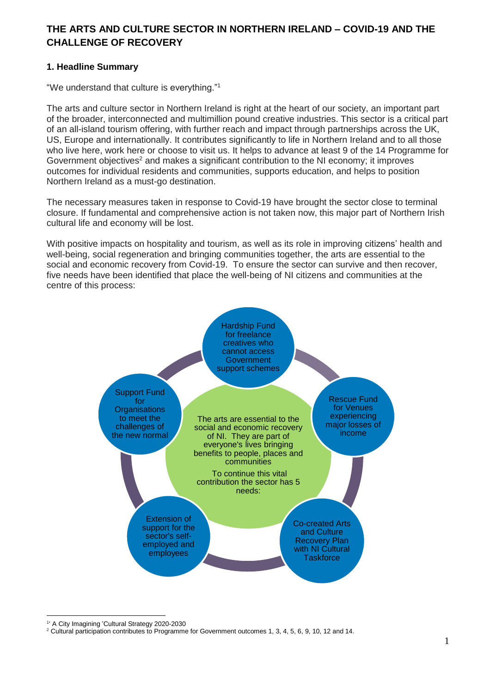# **THE ARTS AND CULTURE SECTOR IN NORTHERN IRELAND – COVID-19 AND THE CHALLENGE OF RECOVERY**

## **1. Headline Summary**

"We understand that culture is everything."<sup>1</sup>

The arts and culture sector in Northern Ireland is right at the heart of our society, an important part of the broader, interconnected and multimillion pound creative industries. This sector is a critical part of an all-island tourism offering, with further reach and impact through partnerships across the UK, US, Europe and internationally. It contributes significantly to life in Northern Ireland and to all those who live here, work here or choose to visit us. It helps to advance at least 9 of the 14 Programme for Government objectives<sup>2</sup> and makes a significant contribution to the NI economy; it improves outcomes for individual residents and communities, supports education, and helps to position Northern Ireland as a must-go destination.

The necessary measures taken in response to Covid-19 have brought the sector close to terminal closure. If fundamental and comprehensive action is not taken now, this major part of Northern Irish cultural life and economy will be lost.

With positive impacts on hospitality and tourism, as well as its role in improving citizens' health and well-being, social regeneration and bringing communities together, the arts are essential to the social and economic recovery from Covid-19. To ensure the sector can survive and then recover, five needs have been identified that place the well-being of NI citizens and communities at the centre of this process:



 $\overline{a}$ 1 ' A City Imagining 'Cultural Strategy 2020-2030

<sup>&</sup>lt;sup>2</sup> Cultural participation contributes to Programme for Government outcomes 1, 3, 4, 5, 6, 9, 10, 12 and 14.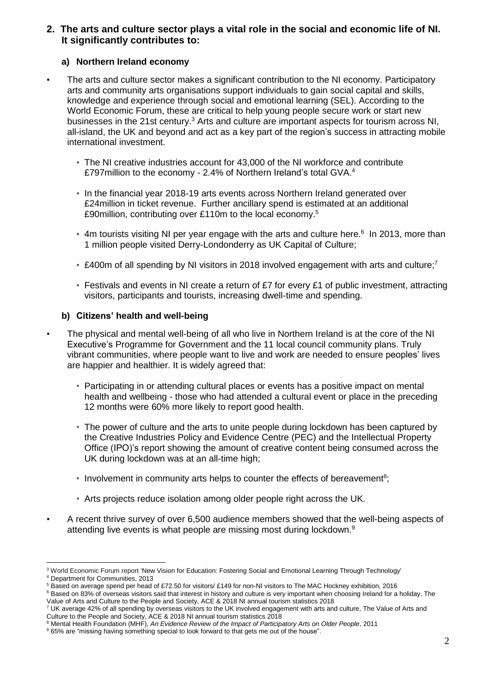## **2. The arts and culture sector plays a vital role in the social and economic life of NI. It significantly contributes to:**

## **a) Northern Ireland economy**

- The arts and culture sector makes a significant contribution to the NI economy. Participatory arts and community arts organisations support individuals to gain social capital and skills, knowledge and experience through social and emotional learning (SEL). According to the World Economic Forum, these are critical to help young people secure work or start new businesses in the 21st century.<sup>3</sup> Arts and culture are important aspects for tourism across NI, all-island, the UK and beyond and act as a key part of the region's success in attracting mobile international investment.
	- The NI creative industries account for 43,000 of the NI workforce and contribute £797million to the economy - 2.4% of Northern Ireland's total GVA.<sup>4</sup>
	- In the financial year 2018-19 arts events across Northern Ireland generated over £24million in ticket revenue. Further ancillary spend is estimated at an additional £90million, contributing over £110m to the local economy.<sup>5</sup>
	- 4m tourists visiting NI per year engage with the arts and culture here.<sup>6</sup> In 2013, more than 1 million people visited Derry-Londonderry as UK Capital of Culture;
	- £400m of all spending by NI visitors in 2018 involved engagement with arts and culture;<sup>7</sup>
	- Festivals and events in NI create a return of £7 for every £1 of public investment, attracting visitors, participants and tourists, increasing dwell-time and spending.

## **b) Citizens' health and well-being**

- The physical and mental well-being of all who live in Northern Ireland is at the core of the NI Executive's Programme for Government and the 11 local council community plans. Truly vibrant communities, where people want to live and work are needed to ensure peoples' lives are happier and healthier. It is widely agreed that:
	- Participating in or attending cultural places or events has a positive impact on mental health and wellbeing - those who had attended a cultural event or place in the preceding 12 months were 60% more likely to report good health.
	- The power of culture and the arts to unite people during lockdown has been captured by the Creative Industries Policy and Evidence Centre (PEC) and the Intellectual Property Office (IPO)'s report showing the amount of creative content being consumed across the UK during lockdown was at an all-time high;
	- Involvement in community arts helps to counter the effects of bereavement<sup>8</sup>;
	- Arts projects reduce isolation among older people right across the UK.
- A recent thrive survey of over 6,500 audience members showed that the well-being aspects of attending live events is what people are missing most during lockdown.<sup>9</sup>

 $\overline{a}$ <sup>3</sup> World Economic Forum report 'New Vision for Education: Fostering Social and Emotional Learning Through Technology'

<sup>4</sup> Department for Communities, 2013

<sup>&</sup>lt;sup>5</sup> Based on average spend per head of £72.50 for visitors/ £149 for non-NI visitors to The MAC Hockney exhibition, 2016

<sup>6</sup> Based on 83% of overseas visitors said that interest in history and culture is very important when choosing Ireland for a holiday, The Value of Arts and Culture to the People and Society, ACE & 2018 NI annual tourism statistics 2018

<sup>7</sup> UK average 42% of all spending by overseas visitors to the UK involved engagement with arts and culture, The Value of Arts and Culture to the People and Society, ACE & 2018 NI annual tourism statistics 2018

<sup>8</sup> Mental Health Foundation (MHF), *An Evidence Review of the Impact of Participatory Arts on Older People*, 2011

<sup>9</sup> 65% are "missing having something special to look forward to that gets me out of the house".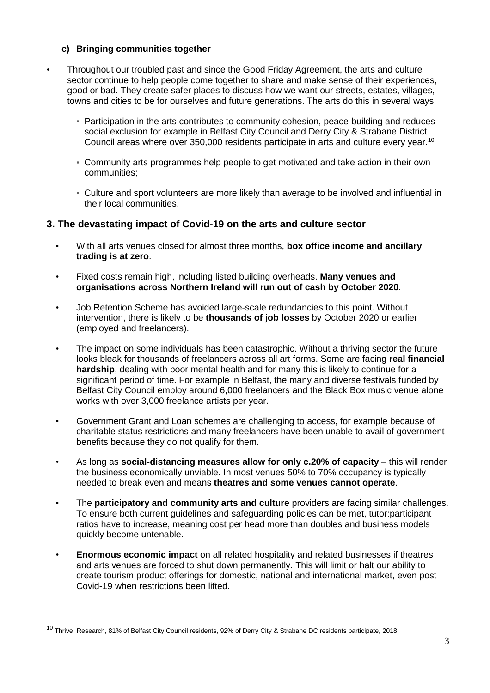## **c) Bringing communities together**

- Throughout our troubled past and since the Good Friday Agreement, the arts and culture sector continue to help people come together to share and make sense of their experiences, good or bad. They create safer places to discuss how we want our streets, estates, villages, towns and cities to be for ourselves and future generations. The arts do this in several ways:
	- Participation in the arts contributes to community cohesion, peace-building and reduces social exclusion for example in Belfast City Council and Derry City & Strabane District Council areas where over 350,000 residents participate in arts and culture every year.<sup>10</sup>
	- Community arts programmes help people to get motivated and take action in their own communities;
	- Culture and sport volunteers are more likely than average to be involved and influential in their local communities.

## **3. The devastating impact of Covid-19 on the arts and culture sector**

- With all arts venues closed for almost three months, **box office income and ancillary trading is at zero**.
- Fixed costs remain high, including listed building overheads. **Many venues and organisations across Northern Ireland will run out of cash by October 2020**.
- Job Retention Scheme has avoided large-scale redundancies to this point. Without intervention, there is likely to be **thousands of job losses** by October 2020 or earlier (employed and freelancers).
- The impact on some individuals has been catastrophic. Without a thriving sector the future looks bleak for thousands of freelancers across all art forms. Some are facing **real financial hardship**, dealing with poor mental health and for many this is likely to continue for a significant period of time. For example in Belfast, the many and diverse festivals funded by Belfast City Council employ around 6,000 freelancers and the Black Box music venue alone works with over 3,000 freelance artists per year.
- Government Grant and Loan schemes are challenging to access, for example because of charitable status restrictions and many freelancers have been unable to avail of government benefits because they do not qualify for them.
- As long as **social-distancing measures allow for only c.20% of capacity** this will render the business economically unviable. In most venues 50% to 70% occupancy is typically needed to break even and means **theatres and some venues cannot operate**.
- The **participatory and community arts and culture** providers are facing similar challenges. To ensure both current guidelines and safeguarding policies can be met, tutor:participant ratios have to increase, meaning cost per head more than doubles and business models quickly become untenable.
- **Enormous economic impact** on all related hospitality and related businesses if theatres and arts venues are forced to shut down permanently. This will limit or halt our ability to create tourism product offerings for domestic, national and international market, even post Covid-19 when restrictions been lifted.

 $\overline{a}$ 

<sup>10</sup> Thrive Research, 81% of Belfast City Council residents, 92% of Derry City & Strabane DC residents participate, 2018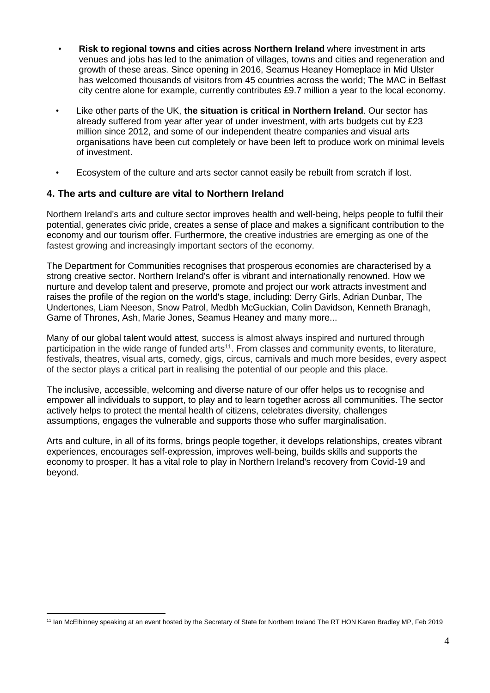- **Risk to regional towns and cities across Northern Ireland** where investment in arts venues and jobs has led to the animation of villages, towns and cities and regeneration and growth of these areas. Since opening in 2016, Seamus Heaney Homeplace in Mid Ulster has welcomed thousands of visitors from 45 countries across the world; The MAC in Belfast city centre alone for example, currently contributes £9.7 million a year to the local economy.
- Like other parts of the UK, **the situation is critical in Northern Ireland**. Our sector has already suffered from year after year of under investment, with arts budgets cut by £23 million since 2012, and some of our independent theatre companies and visual arts organisations have been cut completely or have been left to produce work on minimal levels of investment.
- Ecosystem of the culture and arts sector cannot easily be rebuilt from scratch if lost.

## **4. The arts and culture are vital to Northern Ireland**

Northern Ireland's arts and culture sector improves health and well-being, helps people to fulfil their potential, generates civic pride, creates a sense of place and makes a significant contribution to the economy and our tourism offer. Furthermore, the creative industries are emerging as one of the fastest growing and increasingly important sectors of the economy.

The Department for Communities recognises that prosperous economies are characterised by a strong creative sector. Northern Ireland's offer is vibrant and internationally renowned. How we nurture and develop talent and preserve, promote and project our work attracts investment and raises the profile of the region on the world's stage, including: Derry Girls, Adrian Dunbar, The Undertones, Liam Neeson, Snow Patrol, Medbh McGuckian, Colin Davidson, Kenneth Branagh, Game of Thrones, Ash, Marie Jones, Seamus Heaney and many more...

Many of our global talent would attest, success is almost always inspired and nurtured through participation in the wide range of funded arts<sup>11</sup>. From classes and community events, to literature, festivals, theatres, visual arts, comedy, gigs, circus, carnivals and much more besides, every aspect of the sector plays a critical part in realising the potential of our people and this place.

The inclusive, accessible, welcoming and diverse nature of our offer helps us to recognise and empower all individuals to support, to play and to learn together across all communities. The sector actively helps to protect the mental health of citizens, celebrates diversity, challenges assumptions, engages the vulnerable and supports those who suffer marginalisation.

Arts and culture, in all of its forms, brings people together, it develops relationships, creates vibrant experiences, encourages self-expression, improves well-being, builds skills and supports the economy to prosper. It has a vital role to play in Northern Ireland's recovery from Covid-19 and beyond.

 $\overline{a}$ <sup>11</sup> Ian McElhinney speaking at an event hosted by the Secretary of State for Northern Ireland The RT HON Karen Bradley MP, Feb 2019